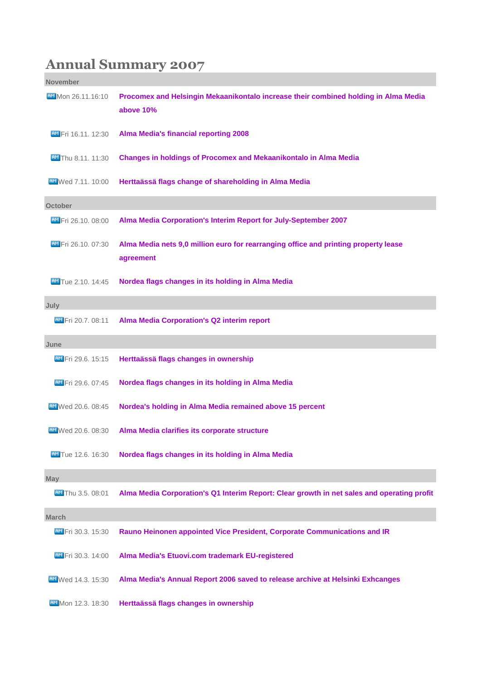## **Annual Summary 2007**

| <b>November</b>            |                                                                                                  |
|----------------------------|--------------------------------------------------------------------------------------------------|
| <b>BM</b> Mon 26.11.16:10  | Procomex and Helsingin Mekaanikontalo increase their combined holding in Alma Media<br>above 10% |
| <b>BM</b> Fri 16.11, 12:30 | <b>Alma Media's financial reporting 2008</b>                                                     |
| <b>AM</b> Thu 8.11. 11:30  | Changes in holdings of Procomex and Mekaanikontalo in Alma Media                                 |
| <b>AM</b> Wed 7.11, 10:00  | Herttaässä flags change of shareholding in Alma Media                                            |
| <b>October</b>             |                                                                                                  |
| <b>BM</b> Fri 26.10, 08:00 | Alma Media Corporation's Interim Report for July-September 2007                                  |
| AM Fri 26.10, 07:30        | Alma Media nets 9,0 million euro for rearranging office and printing property lease<br>agreement |
| <b>AM</b> Tue 2.10. 14:45  | Nordea flags changes in its holding in Alma Media                                                |
| July                       |                                                                                                  |
| <b>AM</b> Fri 20.7, 08:11  | <b>Alma Media Corporation's Q2 interim report</b>                                                |
| June                       |                                                                                                  |
| <b>AM</b> Fri 29.6, 15:15  | Herttaässä flags changes in ownership                                                            |
| AM Fri 29.6. 07:45         | Nordea flags changes in its holding in Alma Media                                                |
| FIM Wed 20.6. 08:45        | Nordea's holding in Alma Media remained above 15 percent                                         |
| <b>FIM</b> Wed 20.6, 08:30 | Alma Media clarifies its corporate structure                                                     |
| <b>AM</b> Tue 12.6. 16:30  | Nordea flags changes in its holding in Alma Media                                                |
| <b>May</b>                 |                                                                                                  |
| <b>AM</b> Thu 3.5. 08:01   | Alma Media Corporation's Q1 Interim Report: Clear growth in net sales and operating profit       |
| <b>March</b>               |                                                                                                  |
| <b>AM</b> Fri 30.3. 15:30  | Rauno Heinonen appointed Vice President, Corporate Communications and IR                         |
| <b>AM</b> Fri 30.3, 14:00  | Alma Media's Etuovi.com trademark EU-registered                                                  |
| <b>AM</b> Wed 14.3, 15:30  | Alma Media's Annual Report 2006 saved to release archive at Helsinki Exhcanges                   |
| <b>BM</b> Mon 12.3. 18:30  | Herttaässä flags changes in ownership                                                            |